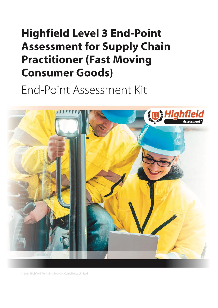# <span id="page-0-1"></span><span id="page-0-0"></span>**Highfield Level 3 End-Point Assessment for Supply Chain Practitioner (Fast Moving Consumer Goods)**

End-Point Assessment Kit



© 2021 Highfield Awarding Body for Compliance Limited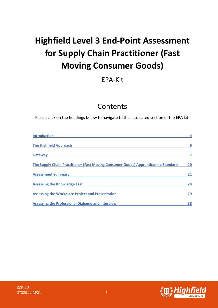# **Highfield Level 3 End-Point Assessment for Supply Chain Practitioner (Fast Moving Consumer Goods)**

# EPA-Kit

# Contents

Please click on the headings below to navigate to the associated section of the EPA kit.

| <b>Introduction</b>                                                                |    |
|------------------------------------------------------------------------------------|----|
| <b>The Highfield Approach</b>                                                      | 6  |
| <b>Gateway</b>                                                                     |    |
| The Supply Chain Practitioner (Fast Moving Consumer Goods) Apprenticeship Standard | 10 |
| <b>Assessment Summary</b>                                                          | 21 |
| <b>Assessing the Knowledge Test</b>                                                | 24 |
| <b>Assessing the Workplace Project and Presentation</b>                            | 29 |
| <b>Assessing the Professional Dialogue and Interview</b>                           | 38 |

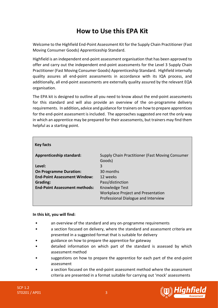# **How to Use this EPA Kit**

Welcome to the Highfield End-Point Assessment Kit for the Supply Chain Practitioner (Fast Moving Consumer Goods) Apprenticeship Standard.

Highfield is an independent end-point assessment organisation that has been approved to offer and carry out the independent end-point assessments for the Level 3 Supply Chain Practitioner (Fast Moving Consumer Goods) Apprenticeship Standard. Highfield internally quality assures all end-point assessments in accordance with its IQA process, and additionally, all end-point assessments are externally quality assured by the relevant EQA organisation.

The EPA kit is designed to outline all you need to know about the end-point assessments for this standard and will also provide an overview of the on-programme delivery requirements. In addition**,** advice and guidance for trainers on how to prepare apprentices for the end-point assessment is included. The approaches suggested are not the only way in which an apprentice may be prepared for their assessments, but trainers may find them helpful as a starting point.

| <b>Key facts</b>                     |                                                           |
|--------------------------------------|-----------------------------------------------------------|
| <b>Apprenticeship standard:</b>      | Supply Chain Practitioner (Fast Moving Consumer<br>Goods) |
| Level:                               | 3                                                         |
| <b>On Programme Duration:</b>        | 30 months                                                 |
| <b>End-Point Assessment Window:</b>  | 12 weeks                                                  |
| Grading:                             | Pass/distinction                                          |
| <b>End-Point Assessment methods:</b> | Knowledge Test                                            |
|                                      | <b>Workplace Project and Presentation</b>                 |
|                                      | Professional Dialogue and Interview                       |

#### **In this kit, you will find:**

- an overview of the standard and any on-programme requirements
- a section focused on delivery, where the standard and assessment criteria are presented in a suggested format that is suitable for delivery
- guidance on how to prepare the apprentice for gateway
- detailed information on which part of the standard is assessed by which assessment method
- suggestions on how to prepare the apprentice for each part of the end-point assessment
- a section focused on the end-point assessment method where the assessment criteria are presented in a format suitable for carrying out 'mock' assessments

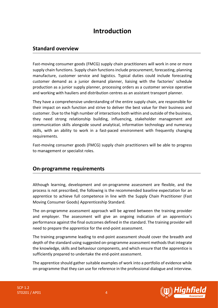# **Introduction**

### <span id="page-3-0"></span>**Standard overview**

Fast-moving consumer goods (FMCG) supply chain practitioners will work in one or more supply chain functions. Supply chain functions include procurement, forecasting, planning manufacture, customer service and logistics. Typical duties could include forecasting customer demand as a junior demand planner, liaising with the factories' schedule production as a junior supply planner, processing orders as a customer service operative and working with hauliers and distribution centres as an assistant transport planner.

They have a comprehensive understanding of the entire supply chain, are responsible for their impact on each function and strive to deliver the best value for their business and customer. Due to the high number of interactions both within and outside of the business, they need strong relationship building, influencing, stakeholder management and communication skills alongside sound analytical, information technology and numeracy skills, with an ability to work in a fast-paced environment with frequently changing requirements.

Fast-moving consumer goods (FMCG) supply chain practitioners will be able to progress to management or specialist roles.

### **On-programme requirements**

Although learning, development and on-programme assessment are flexible, and the process is not prescribed, the following is the recommended baseline expectation for an apprentice to achieve full competence in line with the Supply Chain Practitioner (Fast Moving Consumer Goods) Apprenticeship Standard.

The on-programme assessment approach will be agreed between the training provider and employer. The assessment will give an ongoing indication of an apprentice's performance against the final outcomes defined in the standard. The training provider will need to prepare the apprentice for the end-point assessment.

The training programme leading to end-point assessment should cover the breadth and depth of the standard using suggested on-programme assessment methods that integrate the knowledge, skills and behaviour components, and which ensure that the apprentice is sufficiently prepared to undertake the end-point assessment.

The apprentice should gather suitable examples of work into a portfolio of evidence while on-programme that they can use for reference in the professional dialogue and interview.

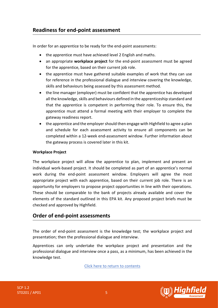### **Readiness for end-point assessment**

In order for an apprentice to be ready for the end-point assessments:

- the apprentice must have achieved level 2 English and maths.
- an appropriate **workplace project** for the end-point assessment must be agreed for the apprentice, based on their current job role.
- the apprentice must have gathered suitable examples of work that they can use for reference in the professional dialogue and interview covering the knowledge, skills and behaviours being assessed by this assessment method.
- the line manager (employer) must be confident that the apprentice has developed all the knowledge, skills and behaviours defined in the apprenticeship standard and that the apprentice is competent in performing their role. To ensure this, the apprentice must attend a formal meeting with their employer to complete the gateway readiness report.
- the apprentice and the employer should then engage with Highfield to agree a plan and schedule for each assessment activity to ensure all components can be completed within a 12-week end-assessment window. Further information about the gateway process is covered later in this kit.

#### **Workplace Project**

The workplace project will allow the apprentice to plan, implement and present an individual work-based project. It should be completed as part of an apprentice's normal work during the end-point assessment window. Employers will agree the most appropriate project with each apprentice, based on their current job role. There is an opportunity for employers to propose project opportunities in line with their operations. These should be comparable to the bank of projects already available and cover the elements of the standard outlined in this EPA kit. Any proposed project briefs must be checked and approved by Highfield.

### **Order of end-point assessments**

The order of end-point assessment is the knowledge test; the workplace project and presentation; then the professional dialogue and interview.

Apprentices can only undertake the workplace project and presentation and the professional dialogue and interview once a pass, as a minimum, has been achieved in the knowledge test.



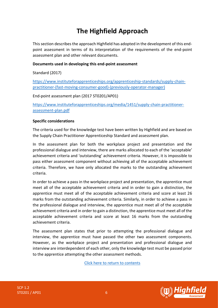# **The Highfield Approach**

<span id="page-5-0"></span>This section describes the approach Highfield has adopted in the development of this endpoint assessment in terms of its interpretation of the requirements of the end-point assessment plan and other relevant documents.

#### **Documents used in developing this end-point assessment**

Standard (2017)

[https://www.instituteforapprenticeships.org/apprenticeship-standards/supply-chain](https://www.instituteforapprenticeships.org/apprenticeship-standards/supply-chain-practitioner-(fast-moving-consumer-good)-(previously-operator-manager))[practitioner-\(fast-moving-consumer-good\)-\(previously-operator-manager\)](https://www.instituteforapprenticeships.org/apprenticeship-standards/supply-chain-practitioner-(fast-moving-consumer-good)-(previously-operator-manager))

End-point assessment plan (2017 ST0201/AP01)

[https://www.instituteforapprenticeships.org/media/1451/supply-chain-practitioner](https://www.instituteforapprenticeships.org/media/1451/supply-chain-practitioner-assessment-plan.pdf)[assessment-plan.pdf](https://www.instituteforapprenticeships.org/media/1451/supply-chain-practitioner-assessment-plan.pdf)

#### **Specific considerations**

The criteria used for the knowledge test have been written by Highfield and are based on the Supply Chain Practitioner Apprenticeship Standard and assessment plan.

In the assessment plan for both the workplace project and presentation and the professional dialogue and interview, there are marks allocated to each of the 'acceptable' achievement criteria and 'outstanding' achievement criteria. However, it is impossible to pass either assessment component without achieving all of the acceptable achievement criteria. Therefore, we have only allocated the marks to the outstanding achievement criteria.

In order to achieve a pass in the workplace project and presentation, the apprentice must meet all of the acceptable achievement criteria and in order to gain a distinction, the apprentice must meet all of the acceptable achievement criteria and score at least 26 marks from the outstanding achievement criteria. Similarly, in order to achieve a pass in the professional dialogue and interview, the apprentice must meet all of the acceptable achievement criteria and in order to gain a distinction, the apprentice must meet all of the acceptable achievement criteria and score at least 16 marks from the outstanding achievement criteria.

The assessment plan states that prior to attempting the professional dialogue and interview, the apprentice must have passed the other two assessment components. However, as the workplace project and presentation and professional dialogue and interview are interdependent of each other, only the knowledge test must be passed prior to the apprentice attempting the other assessment methods.



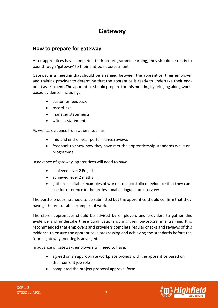# **Gateway**

### <span id="page-6-0"></span>**How to prepare for gateway**

After apprentices have completed their on-programme learning, they should be ready to pass through 'gateway' to their end-point assessment.

Gateway is a meeting that should be arranged between the apprentice, their employer and training provider to determine that the apprentice is ready to undertake their endpoint assessment. The apprentice should prepare for this meeting by bringing along workbased evidence, including:

- customer feedback
- recordings
- manager statements
- witness statements

As well as evidence from others, such as:

- mid and end-of-year performance reviews
- feedback to show how they have met the apprenticeship standards while onprogramme

In advance of gateway, apprentices will need to have:

- achieved level 2 English
- achieved level 2 maths
- gathered suitable examples of work into a portfolio of evidence that they can use for reference in the professional dialogue and interview

The portfolio does not need to be submitted but the apprentice should confirm that they have gathered suitable examples of work.

Therefore, apprentices should be advised by employers and providers to gather this evidence and undertake these qualifications during their on-programme training. It is recommended that employers and providers complete regular checks and reviews of this evidence to ensure the apprentice is progressing and achieving the standards before the formal gateway meeting is arranged.

In advance of gateway, employers will need to have:

- agreed on an appropriate workplace project with the apprentice based on their current job role
- completed the project proposal approval form

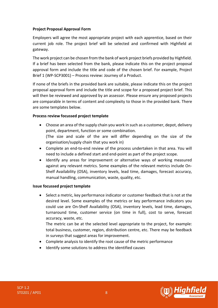### **Project Proposal Approval Form**

Employers will agree the most appropriate project with each apprentice, based on their current job role. The project brief will be selected and confirmed with Highfield at gateway.

The work project can be chosen from the bank of work project briefs provided by Highfield. If a brief has been selected from the bank, please indicate this on the project proposal approval form and include the title and code of the chosen brief. For example, Project Brief 1 (WP-SCP3001) – Process review: Journey of a Product.

If none of the briefs in the provided bank are suitable, please indicate this on the project proposal approval form and include the title and scope for a proposed project brief. This will then be reviewed and approved by an assessor. Please ensure any proposed projects are comparable in terms of content and complexity to those in the provided bank. There are some templates below.

#### **Process review focussed project template**

• Choose an area of the supply chain you work in such as a customer, depot, delivery point, department, function or some combination.

(The size and scale of the are will differ depending on the size of the organisation/supply chain that you work in)

- Complete an end-to-end review of the process undertaken in that area. You will need to include a defined start and end-point as part of the project scope.
- Identify any areas for improvement or alternative ways of working measured against any relevant metrics. Some examples of the relevant metrics include On-Shelf Availability (OSA), inventory levels, lead time, damages, forecast accuracy, manual handling, communication, waste, quality, etc.

#### **Issue focussed project template**

• Select a metric, key performance indicator or customer feedback that is not at the desired level. Some examples of the metrics or key performance indicators you could use are On-Shelf Availability (OSA), inventory levels, lead time, damages, turnaround time, customer service (on time in full), cost to serve, forecast accuracy, waste, etc.

The metric can be at the selected level appropriate to the project, for example: total business, customer, region, distribution centre, etc. There may be feedback in surveys that suggest areas for improvement.

- Complete analysis to identify the root cause of the metric performance
- Identify some solutions to address the identified causes



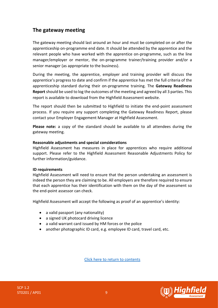# **The gateway meeting**

The gateway meeting should last around an hour and must be completed on or after the apprenticeship on-programme end date. It should be attended by the apprentice and the relevant people who have worked with the apprentice on-programme, such as the line manager/employer or mentor, the on-programme trainer/training provider and/or a senior manager (as appropriate to the business).

During the meeting, the apprentice, employer and training provider will discuss the apprentice's progress to date and confirm if the apprentice has met the full criteria of the apprenticeship standard during their on-programme training. The **Gateway Readiness Report** should be used to log the outcomes of the meeting and agreed by all 3 parties. This report is available to download from the Highfield Assessment website.

The report should then be submitted to Highfield to initiate the end-point assessment process. If you require any support completing the Gateway Readiness Report, please contact your Employer Engagement Manager at Highfield Assessment.

**Please note:** a copy of the standard should be available to all attendees during the gateway meeting.

#### **Reasonable adjustments and special considerations**

Highfield Assessment has measures in place for apprentices who require additional support. Please refer to the Highfield Assessment Reasonable Adjustments Policy for further information/guidance.

#### **ID requirements**

Highfield Assessment will need to ensure that the person undertaking an assessment is indeed the person they are claiming to be. All employers are therefore required to ensure that each apprentice has their identification with them on the day of the assessment so the end-point assessor can check.

Highfield Assessment will accept the following as proof of an apprentice's identity:

- a valid passport (any nationality)
- a signed UK photocard driving licence
- a valid warrant card issued by HM forces or the police
- another photographic ID card, e.g. employee ID card, travel card, etc.



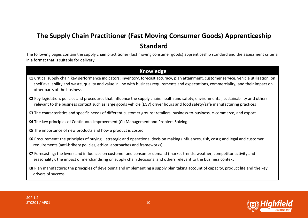# **The Supply Chain Practitioner (Fast Moving Consumer Goods) Apprenticeship Standard**

The following pages contain the supply chain practitioner (fast moving consumer goods) apprenticeship standard and the assessment criteria in a format that is suitable for delivery.

### **Knowledge**

- **K1** Critical supply chain key performance indicators: inventory, forecast accuracy, plan attainment, customer service, vehicle utilisation, on shelf availability and waste, quality and value in line with business requirements and expectations, commerciality; and their impact on other parts of the business.
- **K2** Key legislation, policies and procedures that influence the supply chain: health and safety, environmental, sustainability and others relevant to the business context such as large goods vehicle (LGV) driver hours and food safety/safe manufacturing practices
- **K3** The characteristics and specific needs of different customer groups: retailers, business-to-business, e-commerce, and export
- <span id="page-9-0"></span>**K4** The key principles of Continuous Improvement (CI) Management and Problem Solving
- **K5** The importance of new products and how a product is costed
- **K6** Procurement: the principles of buying strategic and operational decision making (influences, risk, cost); and legal and customer requirements (anti-bribery policies, ethical approaches and frameworks)
- **K7** Forecasting: the levers and influences on customer and consumer demand (market trends, weather, competitor activity and seasonality); the impact of merchandising on supply chain decisions; and others relevant to the business context

**K8** Plan manufacture: the principles of developing and implementing a supply plan taking account of capacity, product life and the key drivers of success

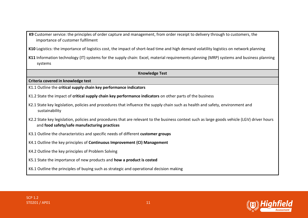**K9** Customer service: the principles of order capture and management, from order receipt to delivery through to customers, the importance of customer fulfilment

**K10** Logistics: the importance of logistics cost, the impact of short-lead time and high demand volatility logistics on network planning

**K11** Information technology (IT) systems for the supply chain: Excel, material requirements planning (MRP) systems and business planning systems

**Knowledge Test**

**Criteria covered in knowledge test**

K1.1 Outline the **critical supply chain key performance indicators**

- K1.2 State the impact of **critical supply chain key performance indicators** on other parts of the business
- K2.1 State key legislation, policies and procedures that influence the supply chain such as health and safety, environment and sustainability
- K2.2 State key legislation, policies and procedures that are relevant to the business context such as large goods vehicle (LGV) driver hours and **food safety/safe manufacturing practices**
- K3.1 Outline the characteristics and specific needs of different **customer groups**
- K4.1 Outline the key principles of **Continuous Improvement (CI) Management**
- K4.2 Outline the key principles of Problem Solving
- K5.1 State the importance of new products and **how a product is costed**

K6.1 Outline the principles of buying such as strategic and operational decision making



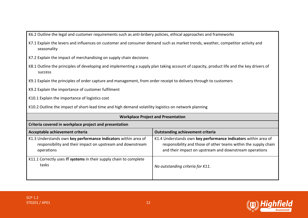K6.2 Outline the legal and customer requirements such as anti-bribery policies, ethical approaches and frameworks

- K7.1 Explain the levers and influences on customer and consumer demand such as market trends, weather, competitor activity and seasonality
- K7.2 Explain the impact of merchandising on supply chain decisions
- K8.1 Outline the principles of developing and implementing a supply plan taking account of capacity, product life and the key drivers of success
- K9.1 Explain the principles of order capture and management, from order receipt to delivery through to customers
- K9.2 Explain the importance of customer fulfilment
- K10.1 Explain the importance of logistics cost
- K10.2 Outline the impact of short-lead time and high demand volatility logistics on network planning

| <b>Workplace Project and Presentation</b>                                                                                                  |                                                                                                                                                                                             |
|--------------------------------------------------------------------------------------------------------------------------------------------|---------------------------------------------------------------------------------------------------------------------------------------------------------------------------------------------|
| Criteria covered in workplace project and presentation                                                                                     |                                                                                                                                                                                             |
| Acceptable achievement criteria<br><b>Outstanding achievement criteria</b>                                                                 |                                                                                                                                                                                             |
| K1.3 Understands own key performance indicators within area of<br>responsibility and their impact on upstream and downstream<br>operations | K1.4 Understands own key performance indicators within area of<br>responsibility and those of other teams within the supply chain<br>and their impact on upstream and downstream operations |
| K11.1 Correctly uses IT systems in their supply chain to complete<br>tasks                                                                 | No outstanding criteria for K11.                                                                                                                                                            |

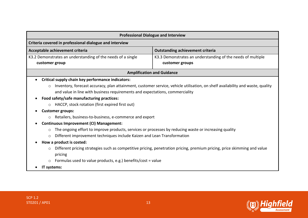| <b>Professional Dialogue and Interview</b>                                                                                                                                                                                    |                                                                                                                                |
|-------------------------------------------------------------------------------------------------------------------------------------------------------------------------------------------------------------------------------|--------------------------------------------------------------------------------------------------------------------------------|
| Criteria covered in professional dialogue and interview                                                                                                                                                                       |                                                                                                                                |
| Acceptable achievement criteria                                                                                                                                                                                               | <b>Outstanding achievement criteria</b>                                                                                        |
| K3.2 Demonstrates an understanding of the needs of a single<br>customer group                                                                                                                                                 | K3.3 Demonstrates an understanding of the needs of multiple<br>customer groups                                                 |
|                                                                                                                                                                                                                               | <b>Amplification and Guidance</b>                                                                                              |
| Critical supply chain key performance indicators:                                                                                                                                                                             |                                                                                                                                |
| $\circ$<br>and value in line with business requirements and expectations, commerciality<br>Food safety/safe manufacturing practices:<br>HACCP, stock rotation (first expired first out)<br>$\circ$<br><b>Customer groups:</b> | Inventory, forecast accuracy, plan attainment, customer service, vehicle utilisation, on shelf availability and waste, quality |
| Retailers, business-to-business, e-commerce and export                                                                                                                                                                        |                                                                                                                                |
| <b>Continuous Improvement (CI) Management:</b>                                                                                                                                                                                |                                                                                                                                |
| The ongoing effort to improve products, services or processes by reducing waste or increasing quality<br>$\circ$                                                                                                              |                                                                                                                                |
| Different improvement techniques include Kaizen and Lean Transformation<br>$\circ$                                                                                                                                            |                                                                                                                                |
| How a product is costed:                                                                                                                                                                                                      |                                                                                                                                |
| Different pricing strategies such as competitive pricing, penetration pricing, premium pricing, price skimming and value<br>pricing<br>Formulas used to value products, e.g.) benefits/cost = value                           |                                                                                                                                |
| IT systems:                                                                                                                                                                                                                   |                                                                                                                                |

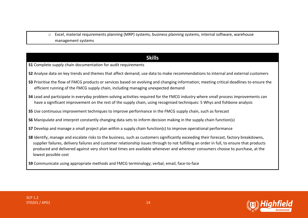o Excel, material requirements planning (MRP) systems, business planning systems, internal software, warehouse management systems

# **Skills**

- **S1** Complete supply chain documentation for audit requirements
- **S2** Analyse data on key trends and themes that affect demand; use data to make recommendations to internal and external customers
- **S3** Prioritise the flow of FMCG products or services based on evolving and changing information; meeting critical deadlines to ensure the efficient running of the FMCG supply chain, including managing unexpected demand
- **S4** Lead and participate in everyday problem-solving activities required for the FMCG industry where small process improvements can have a significant improvement on the rest of the supply chain, using recognised techniques: 5 Whys and fishbone analysis
- **S5** Use continuous improvement techniques to improve performance in the FMCG supply chain, such as forecast
- **S6** Manipulate and interpret constantly changing data sets to inform decision making in the supply chain function(s)
- **S7** Develop and manage a small project plan within a supply chain function(s) to improve operational performance
- **S8** Identify, manage and escalate risks to the business, such as customers significantly exceeding their forecast, factory breakdowns, supplier failures, delivery failures and customer relationship issues through to not fulfilling an order in full, to ensure that products produced and delivered against very short lead times are available whenever and wherever consumers choose to purchase, at the lowest possible cost

**S9** Communicate using appropriate methods and FMCG terminology; verbal, email, face-to-face

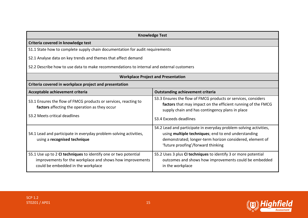| <b>Knowledge Test</b>                                                                                                                                              |                                                                                                                                                                                                                            |  |
|--------------------------------------------------------------------------------------------------------------------------------------------------------------------|----------------------------------------------------------------------------------------------------------------------------------------------------------------------------------------------------------------------------|--|
| Criteria covered in knowledge test                                                                                                                                 |                                                                                                                                                                                                                            |  |
| S1.1 State how to complete supply chain documentation for audit requirements                                                                                       |                                                                                                                                                                                                                            |  |
| S2.1 Analyse data on key trends and themes that affect demand                                                                                                      |                                                                                                                                                                                                                            |  |
| S2.2 Describe how to use data to make recommendations to internal and external customers                                                                           |                                                                                                                                                                                                                            |  |
| <b>Workplace Project and Presentation</b>                                                                                                                          |                                                                                                                                                                                                                            |  |
| Criteria covered in workplace project and presentation                                                                                                             |                                                                                                                                                                                                                            |  |
| Acceptable achievement criteria                                                                                                                                    | <b>Outstanding achievement criteria</b>                                                                                                                                                                                    |  |
| S3.1 Ensures the flow of FMCG products or services, reacting to<br>factors affecting the operation as they occur<br>S3.2 Meets critical deadlines                  | S3.3 Ensures the flow of FMCG products or services, considers<br>factors that may impact on the efficient running of the FMCG<br>supply chain and has contingency plans in place<br>S3.4 Exceeds deadlines                 |  |
| S4.1 Lead and participate in everyday problem-solving activities,<br>using a recognised technique                                                                  | S4.2 Lead and participate in everyday problem-solving activities,<br>using multiple techniques; end to end understanding<br>demonstrated; longer-term horizon considered, element of<br>'future proofing'/forward thinking |  |
| S5.1 Use up to 2 CI techniques to identify one or two potential<br>improvements for the workplace and shows how improvements<br>could be embedded in the workplace | S5.2 Uses 3 plus CI techniques to identify 3 or more potential<br>outcomes and shows how improvements could be embedded<br>in the workplace                                                                                |  |

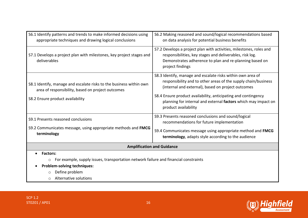| S6.2 Making reasoned and sound/logical recommendations based<br>on data analysis for potential business benefits                                                                                                                                                                                                                                |
|-------------------------------------------------------------------------------------------------------------------------------------------------------------------------------------------------------------------------------------------------------------------------------------------------------------------------------------------------|
| S7.2 Develops a project plan with activities, milestones, roles and<br>responsibilities, key stages and deliverables, risk log.<br>Demonstrates adherence to plan and re-planning based on<br>project findings                                                                                                                                  |
| S8.3 Identify, manage and escalate risks within own area of<br>responsibility and to other areas of the supply chain/business<br>(internal and external), based on project outcomes<br>S8.4 Ensure product availability, anticipating and contingency<br>planning for internal and external factors which may impact on<br>product availability |
| S9.3 Presents reasoned conclusions and sound/logical<br>recommendations for future implementation                                                                                                                                                                                                                                               |
| S9.4 Communicates message using appropriate method and FMCG<br>terminology, adapts style according to the audience                                                                                                                                                                                                                              |
| <b>Amplification and Guidance</b>                                                                                                                                                                                                                                                                                                               |
| For example, supply issues, transportation network failure and financial constraints                                                                                                                                                                                                                                                            |
|                                                                                                                                                                                                                                                                                                                                                 |

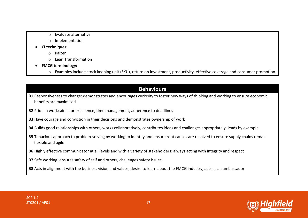- o Evaluate alternative
- o Implementation
- **CI techniques:**
	- o Kaizen
	- $\circ$  Lean Transformation
- **FMCG terminology:** 
	- o Examples include stock keeping unit (SKU), return on investment, productivity, effective coverage and consumer promotion

# **Behaviours B1** Responsiveness to change: demonstrates and encourages curiosity to foster new ways of thinking and working to ensure economic benefits are maximised **B2** Pride in work: aims for excellence, time management, adherence to deadlines **B3** Have courage and conviction in their decisions and demonstrates ownership of work **B4** Builds good relationships with others, works collaboratively, contributes ideas and challenges appropriately, leads by example **B5** Tenacious approach to problem-solving by working to identify and ensure root causes are resolved to ensure supply chains remain flexible and agile **B6** Highly effective communicator at all levels and with a variety of stakeholders: always acting with integrity and respect **B7** Safe working: ensures safety of self and others, challenges safety issues **B8** Acts in alignment with the business vision and values, desire to learn about the FMCG industry, acts as an ambassador

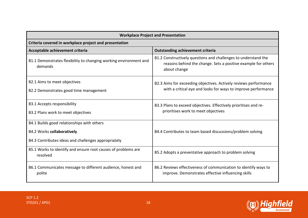| <b>Workplace Project and Presentation</b>                                                                                              |                                                                                                                                                 |  |
|----------------------------------------------------------------------------------------------------------------------------------------|-------------------------------------------------------------------------------------------------------------------------------------------------|--|
| Criteria covered in workplace project and presentation                                                                                 |                                                                                                                                                 |  |
| <b>Outstanding achievement criteria</b><br>Acceptable achievement criteria                                                             |                                                                                                                                                 |  |
| B1.1 Demonstrates flexibility to changing working environment and<br>demands                                                           | B1.2 Constructively questions and challenges to understand the<br>reasons behind the change. Sets a positive example for others<br>about change |  |
| B2.1 Aims to meet objectives<br>B2.2 Demonstrates good time management                                                                 | B2.3 Aims for exceeding objectives. Actively reviews performance<br>with a critical eye and looks for ways to improve performance               |  |
| <b>B3.1 Accepts responsibility</b><br>B3.2 Plans work to meet objectives                                                               | B3.3 Plans to exceed objectives. Effectively prioritises and re-<br>prioritises work to meet objectives                                         |  |
| B4.1 Builds good relationships with others<br><b>B4.2 Works collaboratively</b><br>B4.3 Contributes ideas and challenges appropriately | B4.4 Contributes to team based discussions/problem solving                                                                                      |  |
| B5.1 Works to identify and ensure root causes of problems are<br>resolved                                                              | B5.2 Adopts a preventative approach to problem solving                                                                                          |  |
| B6.1 Communicates message to different audience, honest and<br>polite                                                                  | B6.2 Reviews effectiveness of communication to identify ways to<br>improve. Demonstrates effective influencing skills                           |  |

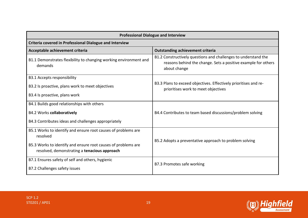| <b>Professional Dialogue and Interview</b>                                                                    |                                                                                                                                                 |  |
|---------------------------------------------------------------------------------------------------------------|-------------------------------------------------------------------------------------------------------------------------------------------------|--|
| Criteria covered in Professional Dialogue and Interview                                                       |                                                                                                                                                 |  |
| Acceptable achievement criteria                                                                               | <b>Outstanding achievement criteria</b>                                                                                                         |  |
| B1.1 Demonstrates flexibility to changing working environment and<br>demands                                  | B1.2 Constructively questions and challenges to understand the<br>reasons behind the change. Sets a positive example for others<br>about change |  |
| <b>B3.1 Accepts responsibility</b>                                                                            |                                                                                                                                                 |  |
| B3.2 Is proactive, plans work to meet objectives                                                              | B3.3 Plans to exceed objectives. Effectively prioritises and re-<br>prioritises work to meet objectives                                         |  |
| B3.4 Is proactive, plans work                                                                                 |                                                                                                                                                 |  |
| B4.1 Builds good relationships with others                                                                    |                                                                                                                                                 |  |
| <b>B4.2 Works collaboratively</b>                                                                             | B4.4 Contributes to team based discussions/problem solving                                                                                      |  |
| B4.3 Contributes ideas and challenges appropriately                                                           |                                                                                                                                                 |  |
| B5.1 Works to identify and ensure root causes of problems are<br>resolved                                     |                                                                                                                                                 |  |
| B5.3 Works to identify and ensure root causes of problems are<br>resolved, demonstrating a tenacious approach | B5.2 Adopts a preventative approach to problem solving                                                                                          |  |
| B7.1 Ensures safety of self and others, hygienic                                                              | B7.3 Promotes safe working                                                                                                                      |  |
| B7.2 Challenges safety issues                                                                                 |                                                                                                                                                 |  |

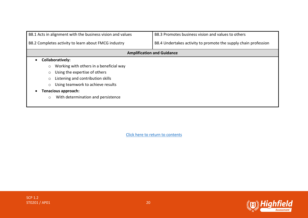| B8.3 Promotes business vision and values to others<br>B8.1 Acts in alignment with the business vision and values |                                                                 |  |
|------------------------------------------------------------------------------------------------------------------|-----------------------------------------------------------------|--|
| B8.2 Completes activity to learn about FMCG industry                                                             | B8.4 Undertakes activity to promote the supply chain profession |  |
| <b>Amplification and Guidance</b>                                                                                |                                                                 |  |
| Collaboratively:                                                                                                 |                                                                 |  |
| Working with others in a beneficial way<br>$\circ$                                                               |                                                                 |  |
| Using the expertise of others                                                                                    |                                                                 |  |
| Listening and contribution skills                                                                                |                                                                 |  |
| Using teamwork to achieve results<br>$\circ$                                                                     |                                                                 |  |
| <b>Tenacious approach:</b>                                                                                       |                                                                 |  |
| With determination and persistence<br>$\circ$                                                                    |                                                                 |  |

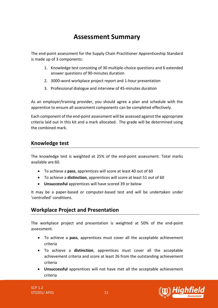# **Assessment Summary**

<span id="page-20-0"></span>The end-point assessment for the Supply Chain Practitioner Apprenticeship Standard is made up of 3 components:

- 1. Knowledge test consisting of 30 multiple-choice questions and 6 extended answer questions of 90-minutes duration
- 2. 3000-word workplace project report and 1-hour presentation
- 3. Professional dialogue and interview of 45-minutes duration

As an employer/training provider, you should agree a plan and schedule with the apprentice to ensure all assessment components can be completed effectively.

Each component of the end-point assessment will be assessed against the appropriate criteria laid out in this kit and a mark allocated. The grade will be determined using the combined mark.

# **Knowledge test**

The knowledge test is weighted at 25% of the end-point assessment. Total marks available are 60.

- To achieve a **pass**, apprentices will score at least 40 out of 60
- To achieve a **distinction**, apprentices will score at least 51 out of 60
- **Unsuccessful** apprentices will have scored 39 or below

It may be a paper-based or computer-based test and will be undertaken under 'controlled' conditions.

# **Workplace Project and Presentation**

The workplace project and presentation is weighted at 50% of the end-point assessment.

- To achieve a **pass**, apprentices must cover all the acceptable achievement criteria
- To achieve a **distinction**, apprentices must cover all the acceptable achievement criteria and score at least 26 from the outstanding achievement criteria
- **Unsuccessful** apprentices will not have met all the acceptable achievement criteria

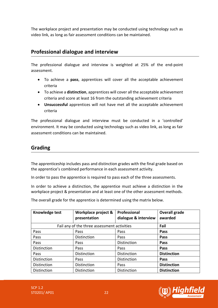The workplace project and presentation may be conducted using technology such as video link, as long as fair assessment conditions can be maintained.

# **Professional dialogue and interview**

The professional dialogue and interview is weighted at 25% of the end-point assessment.

- To achieve a **pass**, apprentices will cover all the acceptable achievement criteria
- To achieve a **distinction**, apprentices will cover all the acceptable achievement criteria and score at least 16 from the outstanding achievement criteria
- **Unsuccessful** apprentices will not have met all the acceptable achievement criteria

The professional dialogue and interview must be conducted in a 'controlled' environment. It may be conducted using technology such as video link, as long as fair assessment conditions can be maintained.

# **Grading**

The apprenticeship includes pass and distinction grades with the final grade based on the apprentice's combined performance in each assessment activity.

In order to pass the apprentice is required to pass each of the three assessments.

In order to achieve a distinction, the apprentice must achieve a distinction in the workplace project & presentation and at least one of the other assessment methods.

The overall grade for the apprentice is determined using the matrix below.

| Knowledge test     | Workplace project &<br>presentation         | Professional<br>dialogue & interview | <b>Overall grade</b><br>awarded |
|--------------------|---------------------------------------------|--------------------------------------|---------------------------------|
|                    | Fail any of the three assessment activities |                                      | Fail                            |
| Pass               | Pass                                        | Pass                                 | Pass                            |
| Pass               | Distinction                                 | Pass                                 | Pass                            |
| Pass               | Pass                                        | Distinction                          | Pass                            |
| <b>Distinction</b> | Pass                                        | Pass                                 | Pass                            |
| Pass               | <b>Distinction</b>                          | Distinction                          | <b>Distinction</b>              |
| Distinction        | Pass                                        | Distinction                          | Pass                            |
| <b>Distinction</b> | Distinction                                 | Pass                                 | <b>Distinction</b>              |
| Distinction        | Distinction                                 | <b>Distinction</b>                   | <b>Distinction</b>              |

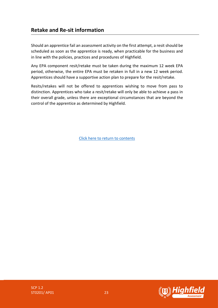# **Retake and Re-sit information**

Should an apprentice fail an assessment activity on the first attempt, a resit should be scheduled as soon as the apprentice is ready, when practicable for the business and in line with the policies, practices and procedures of Highfield.

Any EPA component resit/retake must be taken during the maximum 12 week EPA period, otherwise, the entire EPA must be retaken in full in a new 12 week period. Apprentices should have a supportive action plan to prepare for the resit/retake.

Resits/retakes will not be offered to apprentices wishing to move from pass to distinction. Apprentices who take a resit/retake will only be able to achieve a pass in their overall grade, unless there are exceptional circumstances that are beyond the control of the apprentice as determined by Highfield.

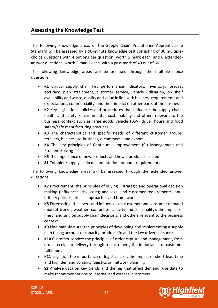# <span id="page-23-0"></span>**Assessing the Knowledge Test**

The following knowledge areas of the Supply Chain Practitioner Apprenticeship Standard will be assessed by a 90-minute knowledge test consisting of 30 multiplechoice questions with 4 options per question, worth 1 mark each, and 6 extendedanswer questions, worth 5 marks each, with a pass mark of 40 out of 60.

The following knowledge areas will be assessed through the multiple-choice questions:

- **K1** Critical supply chain key performance indicators: inventory, forecast accuracy, plan attainment, customer service, vehicle utilisation, on shelf availability and waste, quality and value in line with business requirements and expectations, commerciality; and their impact on other parts of the business
- **K2** Key legislation, policies and procedures that influence the supply chain: health and safety, environmental, sustainability and others relevant to the business context such as large goods vehicle (LGV) driver hours and food safety/safe manufacturing practices
- **K3** The characteristics and specific needs of different customer groups: retailers, business-to-business, e-commerce and export
- **K4** The key principles of Continuous Improvement (CI) Management and Problem Solving
- **K5** The importance of new products and how a product is costed
- **S1** Complete supply chain documentation for audit requirements

The following knowledge areas will be assessed through the extended answer questions:

- **K7** Procurement: the principles of buying strategic and operational decision making (influences, risk, cost); and legal and customer requirements (antibribery policies, ethical approaches and frameworks)
- **K8** Forecasting: the levers and influences on customer and consumer demand (market trends, weather, competitor activity and seasonality); the impact of merchandising on supply chain decisions; and others relevant to the business context
- **K9** Plan manufacture: the principles of developing and implementing a supply plan taking account of capacity, product life and the key drivers of success
- **K10** Customer service: the principles of order capture and management, from order receipt to delivery through to customers, the importance of customer fulfilment
- **K11** Logistics: the importance of logistics cost, the impact of short-lead time and high demand volatility logistics on network planning
- **S2** Analyse data on key trends and themes that affect demand; use data to make recommendations to internal and external customers

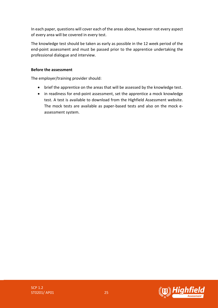In each paper, questions will cover each of the areas above, however not every aspect of every area will be covered in every test.

The knowledge test should be taken as early as possible in the 12 week period of the end-point assessment and must be passed prior to the apprentice undertaking the professional dialogue and interview.

### **Before the assessment**

The employer/training provider should:

- brief the apprentice on the areas that will be assessed by the knowledge test.
- in readiness for end-point assessment, set the apprentice a mock knowledge test. A test is available to download from the Highfield Assessment website. The mock tests are available as paper-based tests and also on the mock eassessment system.

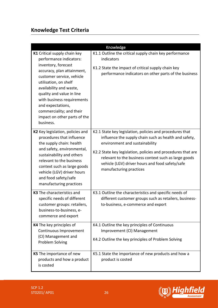# **Knowledge Test Criteria**

| K1 Critical supply chain key<br>performance indicators:<br>inventory, forecast<br>accuracy, plan attainment,<br>customer service, vehicle<br>utilisation, on shelf<br>availability and waste,<br>quality and value in line<br>with business requirements<br>and expectations,<br>commerciality; and their<br>impact on other parts of the<br>business. | Knowledge<br>K1.1 Outline the critical supply chain key performance<br>indicators<br>K1.2 State the impact of critical supply chain key<br>performance indicators on other parts of the business                                                                                                                                                          |
|--------------------------------------------------------------------------------------------------------------------------------------------------------------------------------------------------------------------------------------------------------------------------------------------------------------------------------------------------------|-----------------------------------------------------------------------------------------------------------------------------------------------------------------------------------------------------------------------------------------------------------------------------------------------------------------------------------------------------------|
| K2 Key legislation, policies and<br>procedures that influence<br>the supply chain: health<br>and safety, environmental,<br>sustainability and others<br>relevant to the business<br>context such as large goods<br>vehicle (LGV) driver hours<br>and food safety/safe<br>manufacturing practices                                                       | K2.1 State key legislation, policies and procedures that<br>influence the supply chain such as health and safety,<br>environment and sustainability<br>K2.2 State key legislation, policies and procedures that are<br>relevant to the business context such as large goods<br>vehicle (LGV) driver hours and food safety/safe<br>manufacturing practices |
| K3 The characteristics and<br>specific needs of different<br>customer groups: retailers<br>business-to-business, e-<br>commerce and export                                                                                                                                                                                                             | K3.1 Outline the characteristics and specific needs of<br>different customer groups such as retailers, business-<br>to-business, e-commerce and export                                                                                                                                                                                                    |
| K4 The key principles of<br>Continuous Improvement<br>(CI) Management and<br>Problem Solving                                                                                                                                                                                                                                                           | K4.1 Outline the key principles of Continuous<br>Improvement (CI) Management<br>K4.2 Outline the key principles of Problem Solving                                                                                                                                                                                                                        |
| K5 The importance of new<br>products and how a product<br>is costed                                                                                                                                                                                                                                                                                    | K5.1 State the importance of new products and how a<br>product is costed                                                                                                                                                                                                                                                                                  |

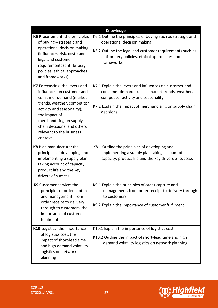| Knowledge                                                                                                                                                                                                                                                              |                                                                                                                                                                                                                           |  |
|------------------------------------------------------------------------------------------------------------------------------------------------------------------------------------------------------------------------------------------------------------------------|---------------------------------------------------------------------------------------------------------------------------------------------------------------------------------------------------------------------------|--|
| K6 Procurement: the principles<br>of buying - strategic and<br>operational decision making<br>(influences, risk, cost); and<br>legal and customer<br>requirements (anti-bribery<br>policies, ethical approaches<br>and frameworks)                                     | K6.1 Outline the principles of buying such as strategic and<br>operational decision making<br>K6.2 Outline the legal and customer requirements such as<br>anti-bribery policies, ethical approaches and<br>frameworks     |  |
| K7 Forecasting: the levers and<br>influences on customer and<br>consumer demand (market<br>trends, weather, competitor<br>activity and seasonality);<br>the impact of<br>merchandising on supply<br>chain decisions; and others<br>relevant to the business<br>context | K7.1 Explain the levers and influences on customer and<br>consumer demand such as market trends, weather,<br>competitor activity and seasonality<br>K7.2 Explain the impact of merchandising on supply chain<br>decisions |  |
| K8 Plan manufacture: the<br>principles of developing and<br>implementing a supply plan<br>taking account of capacity,<br>product life and the key<br>drivers of success                                                                                                | K8.1 Outline the principles of developing and<br>implementing a supply plan taking account of<br>capacity, product life and the key drivers of success                                                                    |  |
| K9 Customer service: the<br>principles of order capture<br>and management, from<br>order receipt to delivery<br>through to customers, the<br>importance of customer<br>fulfilment                                                                                      | K9.1 Explain the principles of order capture and<br>management, from order receipt to delivery through<br>to customers<br>K9.2 Explain the importance of customer fulfilment                                              |  |
| K10 Logistics: the importance<br>of logistics cost, the<br>impact of short-lead time<br>and high demand volatility<br>logistics on network<br>planning                                                                                                                 | K10.1 Explain the importance of logistics cost<br>K10.2 Outline the impact of short-lead time and high<br>demand volatility logistics on network planning                                                                 |  |

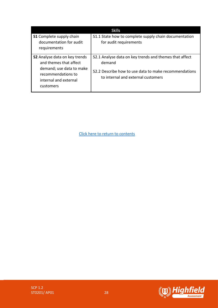|                                                                                                                                                 | Skills                                                                                                                                                          |
|-------------------------------------------------------------------------------------------------------------------------------------------------|-----------------------------------------------------------------------------------------------------------------------------------------------------------------|
| <b>S1</b> Complete supply chain<br>documentation for audit<br>requirements                                                                      | S1.1 State how to complete supply chain documentation<br>for audit requirements                                                                                 |
| S2 Analyse data on key trends<br>and themes that affect<br>demand; use data to make<br>recommendations to<br>internal and external<br>customers | S2.1 Analyse data on key trends and themes that affect<br>demand<br>S2.2 Describe how to use data to make recommendations<br>to internal and external customers |



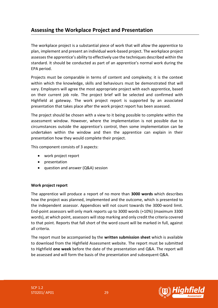# <span id="page-28-0"></span>**Assessing the Workplace Project and Presentation**

The workplace project is a substantial piece of work that will allow the apprentice to plan, implement and present an individual work-based project. The workplace project assesses the apprentice's ability to effectively use the techniques described within the standard. It should be conducted as part of an apprentice's normal work during the EPA period.

Projects must be comparable in terms of content and complexity; it is the context within which the knowledge, skills and behaviours must be demonstrated that will vary. Employers will agree the most appropriate project with each apprentice, based on their current job role. The project brief will be selected and confirmed with Highfield at gateway. The work project report is supported by an associated presentation that takes place after the work project report has been assessed.

The project should be chosen with a view to it being possible to complete within the assessment window. However, where the implementation is not possible due to circumstances outside the apprentice's control, then some implementation can be undertaken within the window and then the apprentice can explain in their presentation how they would complete their project.

This component consists of 3 aspects:

- work project report
- presentation
- question and answer (Q&A) session

### **Work project report**

The apprentice will produce a report of no more than **3000 words** which describes how the project was planned, implemented and the outcome, which is presented to the independent assessor. Appendices will not count towards the 3000-word limit. End-point assessors will only mark reports up to 3000 words (+10%) (maximum 3300 words), at which point, assessors will stop marking and only credit the criteria covered to that point. Reports that fall short of the word count will be marked in full, against all criteria.

The report must be accompanied by the **written submission sheet** which is available to download from the Highfield Assessment website. The report must be submitted to Highfield **one week** before the date of the presentation and Q&A. The report will be assessed and will form the basis of the presentation and subsequent Q&A.

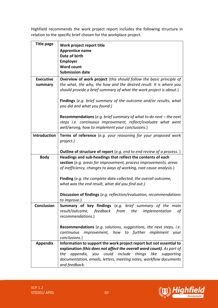Highfield recommends the work project report includes the following structure in relation to the specific brief chosen for the workplace project.

| <b>Title page</b>           | Work project report title<br><b>Apprentice name</b><br>Date of birth                                                                                                                                            |
|-----------------------------|-----------------------------------------------------------------------------------------------------------------------------------------------------------------------------------------------------------------|
|                             | <b>Employer</b><br><b>Word count</b>                                                                                                                                                                            |
|                             | <b>Submission date</b>                                                                                                                                                                                          |
| <b>Executive</b><br>summary | Overview of work project (this should follow the basic principle of<br>the what, the why, the how and the desired result. It is where you<br>should provide a brief summary of what the work project is about.) |
|                             | <b>Findings</b> (e.g. brief summary of the outcome and/or results, what<br>you did and what you found.)                                                                                                         |
|                             | <b>Recommendations</b> (e.g. brief summary of what to do next – the next<br>steps i.e. continuous improvement, reflect/evaluate what went<br>well/wrong, how to implement your conclusions.)                    |
| Introduction                | <b>Terms of reference</b> (e.g. your reasoning for your proposed work<br>project.)                                                                                                                              |
|                             | <b>Outline of structure of report</b> (e.g. end to end review of a process.)                                                                                                                                    |
| <b>Body</b>                 | Headings and sub-headings that reflect the contents of each                                                                                                                                                     |
|                             | section (e.g. areas for improvement, process improvements, areas<br>of inefficiency, changes to ways of working, root cause analysis.)                                                                          |
|                             |                                                                                                                                                                                                                 |
|                             | Finding (e.g. the complete data collected, the overall outcome,                                                                                                                                                 |
|                             | what was the end result, what did you find out.)                                                                                                                                                                |
|                             | <b>Discussion of findings</b> (e.g. reflection/evaluation, recommendations                                                                                                                                      |
|                             | to improve.)                                                                                                                                                                                                    |
| <b>Conclusion</b>           | <b>Summary of key findings</b> (e.g. brief summary of the main                                                                                                                                                  |
|                             | result/outcome, feedback from<br>the<br>implementation<br>οf                                                                                                                                                    |
|                             | recommendations.)                                                                                                                                                                                               |
|                             | Recommendations (e.g. solutions, suggestions, the next steps, i.e.                                                                                                                                              |
|                             | continuous<br>improvement, how to further implement your                                                                                                                                                        |
|                             | conclusions.)<br>Information to support the work project report but not essential to                                                                                                                            |
| <b>Appendix</b>             | explanation (this does not affect the overall word count). As part of                                                                                                                                           |
|                             | could<br>include<br>things<br>like<br>the<br>appendix, you<br>supporting                                                                                                                                        |
|                             | documentation, emails, letters, meeting notes, workflow documents<br>and feedback.                                                                                                                              |

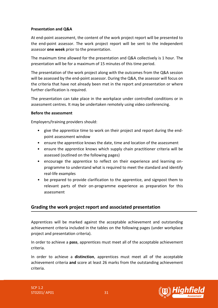### **Presentation and Q&A**

At end-point assessment, the content of the work project report will be presented to the end-point assessor. The work project report will be sent to the independent assessor **one week** prior to the presentation.

The maximum time allowed for the presentation and Q&A collectively is 1 hour. The presentation will be for a maximum of 15 minutes of this time period.

The presentation of the work project along with the outcomes from the Q&A session will be assessed by the end-point assessor. During the Q&A, the assessor will focus on the criteria that have not already been met in the report and presentation or where further clarification is required.

The presentation can take place in the workplace under controlled conditions or in assessment centres. It may be undertaken remotely using video conferencing.

#### **Before the assessment**

Employers/training providers should:

- give the apprentice time to work on their project and report during the endpoint assessment window
- ensure the apprentice knows the date, time and location of the assessment
- ensure the apprentice knows which supply chain practitioner criteria will be assessed (outlined on the following pages)
- encourage the apprentice to reflect on their experience and learning onprogramme to understand what is required to meet the standard and identify real-life examples
- be prepared to provide clarification to the apprentice, and signpost them to relevant parts of their on-programme experience as preparation for this assessment

### **Grading the work project report and associated presentation**

Apprentices will be marked against the acceptable achievement and outstanding achievement criteria included in the tables on the following pages (under workplace project and presentation criteria).

In order to achieve a **pass**, apprentices must meet all of the acceptable achievement criteria.

In order to achieve a **distinction**, apprentices must meet all of the acceptable achievement criteria **and** score at least 26 marks from the outstanding achievement criteria.

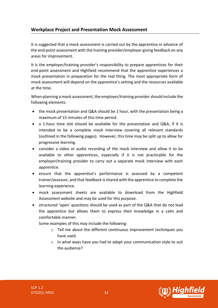### **Workplace Project and Presentation Mock Assessment**

It is suggested that a mock assessment is carried out by the apprentice in advance of the end-point assessment with the training provider/employer giving feedback on any areas for improvement.

It is the employer/training provider's responsibility to prepare apprentices for their end-point assessment and Highfield recommend that the apprentice experiences a mock presentation in preparation for the real thing. The most appropriate form of mock assessment will depend on the apprentice's setting and the resources available at the time.

When planning a mock assessment, the employer/training provider should include the following elements:

- the mock presentation and Q&A should be 1 hour, with the presentation being a maximum of 15 minutes of this time period.
- a 1-hour time slot should be available for the presentation and Q&A, if it is intended to be a complete mock interview covering all relevant standards (outlined in the following pages). However, this time may be split up to allow for progressive learning.
- consider a video or audio recording of the mock interview and allow it to be available to other apprentices, especially if it is not practicable for the employer/training provider to carry out a separate mock interview with each apprentice.
- ensure that the apprentice's performance is assessed by a competent trainer/assessor, and that feedback is shared with the apprentice to complete the learning experience.
- mock assessment sheets are available to download from the Highfield Assessment website and may be used for this purpose.
- structured 'open' questions should be used as part of the Q&A that do not lead the apprentice but allows them to express their knowledge in a calm and comfortable manner.

Some examples of this may include the following:

- o Tell me about the different continuous improvement techniques you have used.
- o In what ways have you had to adapt your communication style to suit the audience?

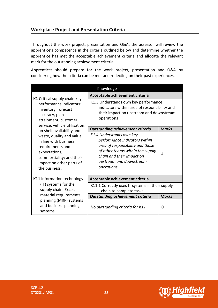### **Workplace Project and Presentation Criteria**

Throughout the work project, presentation and Q&A, the assessor will review the apprentice's competence in the criteria outlined below and determine whether the apprentice has met the acceptable achievement criteria and allocate the relevant mark for the outstanding achievement criteria.

Apprentices should prepare for the work project, presentation and Q&A by considering how the criteria can be met and reflecting on their past experiences.

| Knowledge                                                                                                                                                                                    |                                                                                                                                                                                                         |              |
|----------------------------------------------------------------------------------------------------------------------------------------------------------------------------------------------|---------------------------------------------------------------------------------------------------------------------------------------------------------------------------------------------------------|--------------|
| K1 Critical supply chain key<br>performance indicators:<br>inventory, forecast<br>accuracy, plan<br>attainment, customer                                                                     | Acceptable achievement criteria                                                                                                                                                                         |              |
|                                                                                                                                                                                              | K1.3 Understands own key performance<br>indicators within area of responsibility and<br>their impact on upstream and downstream<br>operations                                                           |              |
| service, vehicle utilisation,                                                                                                                                                                | <b>Outstanding achievement criteria</b>                                                                                                                                                                 | <b>Marks</b> |
| on shelf availability and<br>waste, quality and value<br>in line with business<br>requirements and<br>expectations,<br>commerciality; and their<br>impact on other parts of<br>the business. | K1.4 Understands own key<br>performance indicators within<br>area of responsibility and those<br>of other teams within the supply<br>chain and their impact on<br>upstream and downstream<br>operations | 5            |
| K11 Information technology                                                                                                                                                                   | Acceptable achievement criteria                                                                                                                                                                         |              |
| (IT) systems for the<br>supply chain: Excel,                                                                                                                                                 | K11.1 Correctly uses IT systems in their supply<br>chain to complete tasks                                                                                                                              |              |
| material requirements                                                                                                                                                                        | <b>Outstanding achievement criteria</b>                                                                                                                                                                 | <b>Marks</b> |
| planning (MRP) systems<br>and business planning<br>systems                                                                                                                                   | No outstanding criteria for K11.                                                                                                                                                                        | 0            |

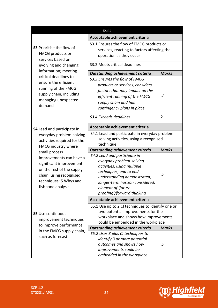| <b>Skills</b>                                                                                      |                                                                                                       |                |
|----------------------------------------------------------------------------------------------------|-------------------------------------------------------------------------------------------------------|----------------|
|                                                                                                    | Acceptable achievement criteria                                                                       |                |
| <b>S3</b> Prioritise the flow of<br>FMCG products or<br>services based on<br>evolving and changing | S3.1 Ensures the flow of FMCG products or                                                             |                |
|                                                                                                    | services, reacting to factors affecting the                                                           |                |
|                                                                                                    | operation as they occur                                                                               |                |
|                                                                                                    | S3.2 Meets critical deadlines                                                                         |                |
|                                                                                                    |                                                                                                       |                |
| information; meeting<br>critical deadlines to                                                      | <b>Outstanding achievement criteria</b>                                                               | <b>Marks</b>   |
| ensure the efficient                                                                               | S3.3 Ensures the flow of FMCG                                                                         |                |
| running of the FMCG                                                                                | products or services, considers                                                                       |                |
| supply chain, including                                                                            | factors that may impact on the                                                                        |                |
| managing unexpected                                                                                | efficient running of the FMCG                                                                         | $\overline{3}$ |
| demand                                                                                             | supply chain and has                                                                                  |                |
|                                                                                                    | contingency plans in place                                                                            |                |
|                                                                                                    | S3.4 Exceeds deadlines                                                                                | $\overline{2}$ |
| <b>S4</b> Lead and participate in                                                                  | Acceptable achievement criteria                                                                       |                |
| everyday problem-solving<br>activities required for the<br>FMCG industry where                     | S4.1 Lead and participate in everyday problem-<br>solving activities, using a recognised<br>technique |                |
| small process                                                                                      | <b>Outstanding achievement criteria</b>                                                               | <b>Marks</b>   |
|                                                                                                    |                                                                                                       |                |
|                                                                                                    | S4.2 Lead and participate in                                                                          |                |
| improvements can have a                                                                            | everyday problem-solving                                                                              |                |
| significant improvement                                                                            | activities, using multiple                                                                            |                |
| on the rest of the supply                                                                          | techniques; end to end                                                                                | 5              |
| chain, using recognised                                                                            | understanding demonstrated;                                                                           |                |
| techniques: 5 Whys and<br>fishbone analysis                                                        | longer-term horizon considered,                                                                       |                |
|                                                                                                    | element of 'future<br>proofing'/forward thinking                                                      |                |
|                                                                                                    | Acceptable achievement criteria                                                                       |                |
|                                                                                                    | S5.1 Use up to 2 CI techniques to identify one or                                                     |                |
|                                                                                                    | two potential improvements for the                                                                    |                |
| <b>S5</b> Use continuous                                                                           | workplace and shows how improvements                                                                  |                |
| improvement techniques                                                                             | could be embedded in the workplace                                                                    |                |
| to improve performance                                                                             | <b>Outstanding achievement criteria</b>                                                               | <b>Marks</b>   |
| in the FMCG supply chain,<br>such as forecast                                                      | S5.2 Uses 3 plus CI techniques to                                                                     |                |
|                                                                                                    | identify 3 or more potential                                                                          |                |
|                                                                                                    | outcomes and shows how<br>improvements could be                                                       | 5              |

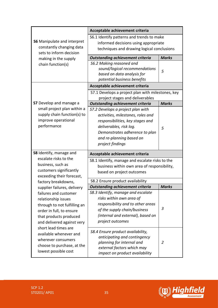|                                                                                           | Acceptable achievement criteria                                              |              |
|-------------------------------------------------------------------------------------------|------------------------------------------------------------------------------|--------------|
| <b>S6</b> Manipulate and interpret<br>constantly changing data<br>sets to inform decision | S6.1 Identify patterns and trends to make                                    |              |
|                                                                                           | informed decisions using appropriate                                         |              |
|                                                                                           | techniques and drawing logical conclusions                                   |              |
| making in the supply                                                                      | <b>Outstanding achievement criteria</b>                                      | <b>Marks</b> |
| chain function(s)                                                                         | S6.2 Making reasoned and                                                     |              |
|                                                                                           | sound/logical recommendations                                                | 5            |
|                                                                                           | based on data analysis for                                                   |              |
|                                                                                           | potential business benefits                                                  |              |
|                                                                                           | Acceptable achievement criteria                                              |              |
|                                                                                           | S7.1 Develops a project plan with milestones, key                            |              |
| S7 Develop and manage a                                                                   | project stages and deliverables                                              | <b>Marks</b> |
| small project plan within a                                                               | <b>Outstanding achievement criteria</b><br>S7.2 Develops a project plan with |              |
| supply chain function(s) to                                                               | activities, milestones, roles and                                            |              |
| improve operational                                                                       | responsibilities, key stages and                                             |              |
| performance                                                                               | deliverables, risk log.                                                      |              |
|                                                                                           | Demonstrates adherence to plan                                               | 5            |
|                                                                                           | and re-planning based on                                                     |              |
|                                                                                           | project findings                                                             |              |
|                                                                                           |                                                                              |              |
| S8 Identify, manage and                                                                   | Acceptable achievement criteria                                              |              |
| escalate risks to the                                                                     | S8.1 Identify, manage and escalate risks to the                              |              |
| business, such as<br>customers significantly                                              | business within own area of responsibility,                                  |              |
| exceeding their forecast,                                                                 | based on project outcomes                                                    |              |
| factory breakdowns,                                                                       | S8.2 Ensure product availability                                             |              |
| supplier failures, delivery                                                               | <b>Outstanding achievement criteria</b>                                      | <b>Marks</b> |
| failures and customer                                                                     | S8.3 Identify, manage and escalate                                           |              |
| relationship issues                                                                       | risks within own area of                                                     |              |
| through to not fulfilling an                                                              | responsibility and to other areas                                            |              |
| order in full, to ensure                                                                  | of the supply chain/business                                                 | 3            |
| that products produced                                                                    | (internal and external), based on                                            |              |
| and delivered against very                                                                | project outcomes                                                             |              |
| short lead times are                                                                      |                                                                              |              |
| available whenever and                                                                    | S8.4 Ensure product availability,<br>anticipating and contingency            |              |
| wherever consumers                                                                        | planning for internal and                                                    | 2            |
| choose to purchase, at the                                                                | external factors which may                                                   |              |
| lowest possible cost                                                                      | impact on product availability                                               |              |

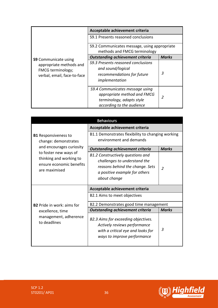|                                                                                                            | Acceptable achievement criteria                                                                                          |              |
|------------------------------------------------------------------------------------------------------------|--------------------------------------------------------------------------------------------------------------------------|--------------|
|                                                                                                            | S9.1 Presents reasoned conclusions                                                                                       |              |
|                                                                                                            | S9.2 Communicates message, using appropriate<br>methods and FMCG terminology                                             |              |
|                                                                                                            | <b>Outstanding achievement criteria</b>                                                                                  | <b>Marks</b> |
| <b>S9</b> Communicate using<br>appropriate methods and<br>FMCG terminology;<br>verbal, email, face-to-face | S9.3 Presents reasoned conclusions<br>and sound/logical<br>recommendations for future<br>implementation                  | 3            |
|                                                                                                            | S9.4 Communicates message using<br>appropriate method and FMCG<br>terminology, adapts style<br>according to the audience | 2            |

| <b>Behaviours</b>                                                                             |                                                                                                                                                              |               |
|-----------------------------------------------------------------------------------------------|--------------------------------------------------------------------------------------------------------------------------------------------------------------|---------------|
|                                                                                               | Acceptable achievement criteria                                                                                                                              |               |
| <b>B1</b> Responsiveness to<br>change: demonstrates                                           | B1.1 Demonstrates flexibility to changing working<br>environment and demands                                                                                 |               |
| and encourages curiosity                                                                      | <b>Outstanding achievement criteria</b>                                                                                                                      | <b>Marks</b>  |
| to foster new ways of<br>thinking and working to<br>ensure economic benefits<br>are maximised | <b>B1.2 Constructively questions and</b><br>challenges to understand the<br>reasons behind the change. Sets<br>a positive example for others<br>about change | $\mathcal{P}$ |
|                                                                                               | Acceptable achievement criteria                                                                                                                              |               |
|                                                                                               | B2.1 Aims to meet objectives                                                                                                                                 |               |
| <b>B2</b> Pride in work: aims for                                                             | B2.2 Demonstrates good time management                                                                                                                       |               |
| excellence, time                                                                              | <b>Outstanding achievement criteria</b>                                                                                                                      | <b>Marks</b>  |
| management, adherence<br>to deadlines                                                         | B2.3 Aims for exceeding objectives.<br>Actively reviews performance<br>with a critical eye and looks for<br>ways to improve performance                      | 3             |

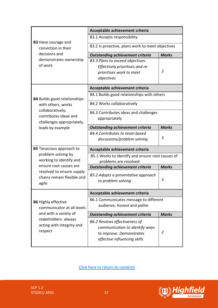|                                                                                       | Acceptable achievement criteria                  |                |
|---------------------------------------------------------------------------------------|--------------------------------------------------|----------------|
| <b>B3</b> Have courage and                                                            | B3.1 Accepts responsibility                      |                |
| conviction in their<br>decisions and                                                  | B3.2 Is proactive, plans work to meet objectives |                |
|                                                                                       | <b>Outstanding achievement criteria</b>          | <b>Marks</b>   |
| demonstrates ownership                                                                | B3.3 Plans to exceed objectives.                 |                |
| of work                                                                               | Effectively prioritises and re-                  |                |
|                                                                                       | prioritises work to meet                         | 2              |
|                                                                                       | objectives                                       |                |
|                                                                                       | Acceptable achievement criteria                  |                |
| <b>B4</b> Builds good relationships                                                   | B4.1 Builds good relationships with others       |                |
| with others, works                                                                    | B4.2 Works collaboratively                       |                |
| collaboratively,                                                                      | B4.3 Contributes ideas and challenges            |                |
| contributes ideas and<br>challenges appropriately,                                    | appropriately                                    |                |
| leads by example                                                                      | <b>Outstanding achievement criteria</b>          | <b>Marks</b>   |
|                                                                                       | B4.4 Contributes to team based                   |                |
|                                                                                       | discussions/problem solving                      | 3              |
| <b>B5</b> Tenacious approach to                                                       | Acceptable achievement criteria                  |                |
| problem-solving by<br>working to identify and                                         | B5.1 Works to identify and ensure root causes of |                |
| ensure root causes are                                                                | problems are resolved                            | <b>Marks</b>   |
| resolved to ensure supply                                                             | <b>Outstanding achievement criteria</b>          |                |
| chains remain flexible and                                                            | B5.2 Adopts a preventative approach              |                |
| agile                                                                                 | to problem solving                               | 3              |
|                                                                                       | Acceptable achievement criteria                  |                |
| <b>B6</b> Highly effective                                                            | B6.1 Communicates message to different           |                |
| communicator at all levels                                                            | audience, honest and polite                      |                |
| and with a variety of<br>stakeholders: always<br>acting with integrity and<br>respect | <b>Outstanding achievement criteria</b>          | <b>Marks</b>   |
|                                                                                       | B6.2 Reviews effectiveness of                    |                |
|                                                                                       | communication to identify ways                   |                |
|                                                                                       | to improve. Demonstrates                         | $\overline{2}$ |
|                                                                                       | effective influencing skills                     |                |
|                                                                                       |                                                  |                |

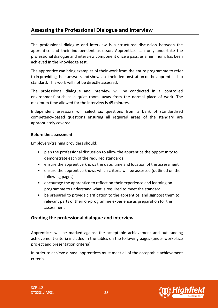# <span id="page-37-0"></span>**Assessing the Professional Dialogue and Interview**

The professional dialogue and interview is a structured discussion between the apprentice and their independent assessor. Apprentices can only undertake the professional dialogue and interview component once a pass, as a minimum, has been achieved in the knowledge test.

The apprentice can bring examples of their work from the entire programme to refer to in providing their answers and showcase their demonstration of the apprenticeship standard. This work will not be directly assessed.

The professional dialogue and interview will be conducted in a 'controlled environment' such as a quiet room, away from the normal place of work. The maximum time allowed for the interview is 45 minutes.

Independent assessors will select six questions from a bank of standardised competency-based questions ensuring all required areas of the standard are appropriately covered.

#### **Before the assessment:**

Employers/training providers should:

- plan the professional discussion to allow the apprentice the opportunity to demonstrate each of the required standards
- ensure the apprentice knows the date, time and location of the assessment
- ensure the apprentice knows which criteria will be assessed (outlined on the following pages)
- encourage the apprentice to reflect on their experience and learning onprogramme to understand what is required to meet the standard
- be prepared to provide clarification to the apprentice, and signpost them to relevant parts of their on-programme experience as preparation for this assessment

### **Grading the professional dialogue and interview**

Apprentices will be marked against the acceptable achievement and outstanding achievement criteria included in the tables on the following pages (under workplace project and presentation criteria).

In order to achieve a **pass**, apprentices must meet all of the acceptable achievement criteria.

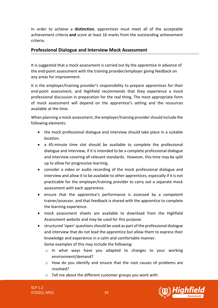In order to achieve a **distinction**, apprentices must meet all of the acceptable achievement criteria **and** score at least 16 marks from the outstanding achievement criteria.

### **Professional Dialogue and Interview Mock Assessment**

It is suggested that a mock assessment is carried out by the apprentice in advance of the end-point assessment with the training provider/employer giving feedback on any areas for improvement.

It is the employer/training provider's responsibility to prepare apprentices for their end-point assessment, and Highfield recommends that they experience a mock professional discussion in preparation for the real thing. The most appropriate form of mock assessment will depend on the apprentice's setting and the resources available at the time.

When planning a mock assessment, the employer/training provider should include the following elements:

- the mock professional dialogue and interview should take place in a suitable location.
- a 45-minute time slot should be available to complete the professional dialogue and interview, if it is intended to be a complete professional dialogue and interview covering all relevant standards. However, this time may be split up to allow for progressive learning.
- consider a video or audio recording of the mock professional dialogue and interview and allow it to be available to other apprentices, especially if it is not practicable for the employer/training provider to carry out a separate mock assessment with each apprentice.
- ensure that the apprentice's performance is assessed by a competent trainer/assessor, and that feedback is shared with the apprentice to complete the learning experience.
- mock assessment sheets are available to download from the Highfield Assessment website and may be used for this purpose.
- structured 'open' questions should be used as part of the professional dialogue and interview that do not lead the apprentice but allow them to express their knowledge and experience in a calm and comfortable manner.

Some examples of this may include the following:

- o In what ways have you adapted to changes to your working environment/demand?
- $\circ$  How do you identify and ensure that the root causes of problems are resolved?
- o Tell me about the different customer groups you work with.

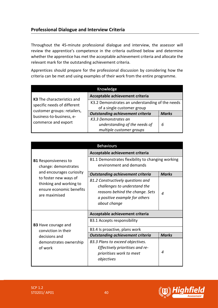### **Professional Dialogue and Interview Criteria**

Throughout the 45-minute professional dialogue and interview, the assessor will review the apprentice's competence in the criteria outlined below and determine whether the apprentice has met the acceptable achievement criteria and allocate the relevant mark for the outstanding achievement criteria.

Apprentices should prepare for the professional discussion by considering how the criteria can be met and using examples of their work from the entire programme.

| Knowledge                                                                                                     |                                                                                   |              |
|---------------------------------------------------------------------------------------------------------------|-----------------------------------------------------------------------------------|--------------|
| K3 The characteristics and                                                                                    | Acceptable achievement criteria                                                   |              |
| specific needs of different<br>customer groups: retailers,<br>business-to-business, e-<br>commerce and export | K3.2 Demonstrates an understanding of the needs<br>of a single customer group     |              |
|                                                                                                               | <b>Outstanding achievement criteria</b>                                           | <b>Marks</b> |
|                                                                                                               | K3.3 Demonstrates an<br>understanding of the needs of<br>multiple customer groups | 6            |

| <b>Behaviours</b>                                                                             |                                                                                                                                                       |                          |
|-----------------------------------------------------------------------------------------------|-------------------------------------------------------------------------------------------------------------------------------------------------------|--------------------------|
|                                                                                               | Acceptable achievement criteria                                                                                                                       |                          |
| <b>B1</b> Responsiveness to<br>change: demonstrates                                           | B1.1 Demonstrates flexibility to changing working<br>environment and demands                                                                          |                          |
| and encourages curiosity                                                                      | <b>Outstanding achievement criteria</b>                                                                                                               | <b>Marks</b>             |
| to foster new ways of<br>thinking and working to<br>ensure economic benefits<br>are maximised | B1.2 Constructively questions and<br>challenges to understand the<br>reasons behind the change. Sets<br>a positive example for others<br>about change | $\boldsymbol{\varDelta}$ |
|                                                                                               | Acceptable achievement criteria                                                                                                                       |                          |
| <b>B3</b> Have courage and                                                                    | <b>B3.1 Accepts responsibility</b>                                                                                                                    |                          |
| conviction in their                                                                           | B3.4 Is proactive, plans work                                                                                                                         |                          |
| decisions and                                                                                 | <b>Outstanding achievement criteria</b>                                                                                                               | <b>Marks</b>             |
| demonstrates ownership<br>of work                                                             | B3.3 Plans to exceed objectives.<br>Effectively prioritises and re-<br>prioritises work to meet<br>objectives                                         | 4                        |